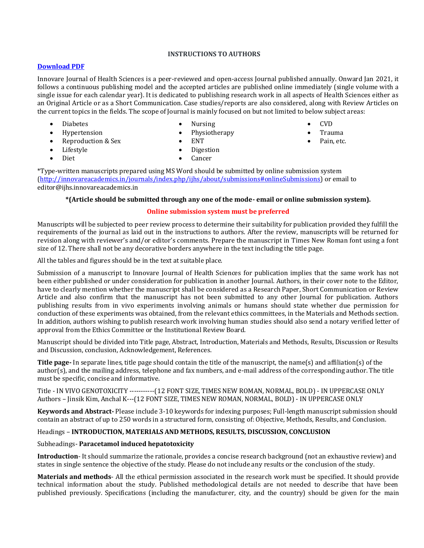## **INSTRUCTIONS TO AUTHORS**

### **[Download PDF](http://innovareacademics.in/instructions/IA-IJHS.pdf)**

Innovare Journal of Health Sciences is a peer-reviewed and open-access Journal published annually. Onward Jan 2021, it follows a continuous publishing model and the accepted articles are published online immediately (single volume with a single issue for each calendar year). It is dedicated to publishing research work in all aspects of Health Sciences either as an Original Article or as a Short Communication. Case studies/reports are also considered, along with Review Articles on the current topics in the fields. The scope of Journal is mainly focused on but not limited to below subject areas:

Diabetes

Diet

Hypertension

Lifestyle

• Reproduction & Sex

- Nursing
- Physiotherapy
- ENT
- Digestion
	- Cancer

\*Type-written manuscripts prepared using MS Word should be submitted by online submission system [\(http://innovareacademics.in/journals/index.php/ijhs/about/submissions#onlineSubmissions\)](http://innovareacademics.in/journals/index.php/ijhs/about/submissions#onlineSubmissions) or email to editor@ijhs.innovareacademics.in

#### **\*(Article should be submitted through any one of the mode- email or online submission system).**

## **Online submission system must be preferred**

Manuscripts will be subjected to peer review process to determine their suitability for publication provided they fulfill the requirements of the journal as laid out in the instructions to authors. After the review, manuscripts will be returned for revision along with reviewer's and/or editor's comments. Prepare the manuscript in Times New Roman font using a font size of 12. There shall not be any decorative borders anywhere in the text including the title page.

All the tables and figures should be in the text at suitable place.

Submission of a manuscript to Innovare Journal of Health Sciences for publication implies that the same work has not been either published or under consideration for publication in another Journal. Authors, in their cover note to the Editor, have to clearly mention whether the manuscript shall be considered as a Research Paper, Short Communication or Review Article and also confirm that the manuscript has not been submitted to any other Journal for publication. Authors publishing results from in vivo experiments involving animals or humans should state whether due permission for conduction of these experiments was obtained, from the relevant ethics committees, in the Materials and Methods section. In addition, authors wishing to publish research work involving human studies should also send a notary verified letter of approval from the Ethics Committee or the Institutional Review Board.

Manuscript should be divided into Title page, Abstract, Introduction, Materials and Methods, Results, Discussion or Results and Discussion, conclusion, Acknowledgement, References.

**Title page-** In separate lines, title page should contain the title of the manuscript, the name(s) and affiliation(s) of the author(s), and the mailing address, telephone and fax numbers, and e-mail address of the corresponding author. The title must be specific, concise and informative.

Title - IN VIVO GENOTOXICITY -----------(12 FONT SIZE, TIMES NEW ROMAN, NORMAL, BOLD) - IN UPPERCASE ONLY Authors – Jinsik Kim, Anchal K---(12 FONT SIZE, TIMES NEW ROMAN, NORMAL, BOLD) - IN UPPERCASE ONLY

**Keywords and Abstract-** Please include 3-10 keywords for indexing purposes; Full-length manuscript submission should contain an abstract of up to 250 words in a structured form, consisting of: Objective, Methods, Results, and Conclusion.

#### Headings – **INTRODUCTION, MATERIALS AND METHODS, RESULTS, DISCUSSION, CONCLUSION**

#### Subheadings- **Paracetamol induced hepatotoxicity**

**Introduction**- It should summarize the rationale, provides a concise research background (not an exhaustive review) and states in single sentence the objective of the study. Please do not include any results or the conclusion of the study.

**Materials and methods**- All the ethical permission associated in the research work must be specified. It should provide technical information about the study. Published methodological details are not needed to describe that have been published previously. Specifications (including the manufacturer, city, and the country) should be given for the main

- CVD
	- Trauma
	- Pain, etc.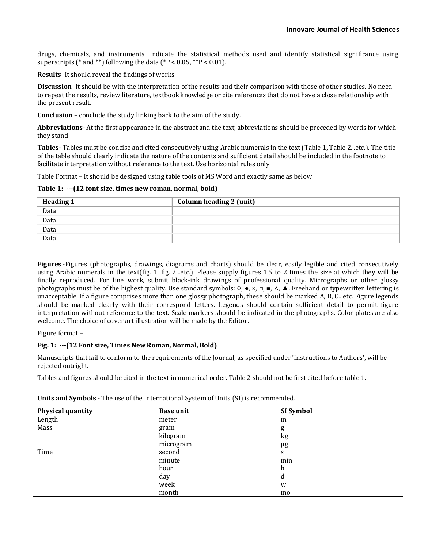drugs, chemicals, and instruments. Indicate the statistical methods used and identify statistical significance using superscripts (\* and \*\*) following the data (\* $P < 0.05$ , \*\* $P < 0.01$ ).

**Results**- It should reveal the findings of works.

**Discussion**- It should be with the interpretation of the results and their comparison with those of other studies. No need to repeat the results, review literature, textbook knowledge or cite references that do not have a close relationship with the present result.

**Conclusion** – conclude the study linking back to the aim of the study.

**Abbreviations-** At the first appearance in the abstract and the text, abbreviations should be preceded by words for which they stand.

**Tables-** Tables must be concise and cited consecutively using Arabic numerals in the text (Table 1, Table 2...etc.). The title of the table should clearly indicate the nature of the contents and sufficient detail should be included in the footnote to facilitate interpretation without reference to the text. Use horizontal rules only.

Table Format – It should be designed using table tools of MS Word and exactly same as below

**Table 1: ---(12 font size, times new roman, normal, bold)**

| <b>Heading 1</b> | Column heading 2 (unit) |
|------------------|-------------------------|
| Data             |                         |
| Data             |                         |
| Data             |                         |
| Data             |                         |

**Figures** -Figures (photographs, drawings, diagrams and charts) should be clear, easily legible and cited consecutively using Arabic numerals in the text(fig. 1, fig. 2...etc.). Please supply figures 1.5 to 2 times the size at which they will be finally reproduced. For line work, submit black-ink drawings of professional quality. Micrographs or other glossy photographs must be of the highest quality. Use standard symbols: ○, ●, ×, □, ■, △, ▲. Freehand or typewritten lettering is unacceptable. If a figure comprises more than one glossy photograph, these should be marked A, B, C...etc. Figure legends should be marked clearly with their correspond letters. Legends should contain sufficient detail to permit figure interpretation without reference to the text. Scale markers should be indicated in the photographs. Color plates are also welcome. The choice of cover art illustration will be made by the Editor.

Figure format –

#### **Fig. 1: ---(12 Font size, Times New Roman, Normal, Bold)**

Manuscripts that fail to conform to the requirements of the Journal, as specified under 'Instructions to Authors', will be rejected outright.

Tables and figures should be cited in the text in numerical order. Table 2 should not be first cited before table 1.

| <b>Physical quantity</b> | <b>Base unit</b> | SI Symbol |
|--------------------------|------------------|-----------|
| Length                   | meter            | m         |
| Mass                     | gram             | g         |
|                          | kilogram         | kg        |
|                          | microgram        | μg        |
| Time                     | second           | S         |
|                          | minute           | min       |
|                          | hour             | h         |
|                          | day              | d         |
|                          | week             | W         |
|                          | month            | mo        |

**Units and Symbols** - The use of the International System of Units (SI) is recommended.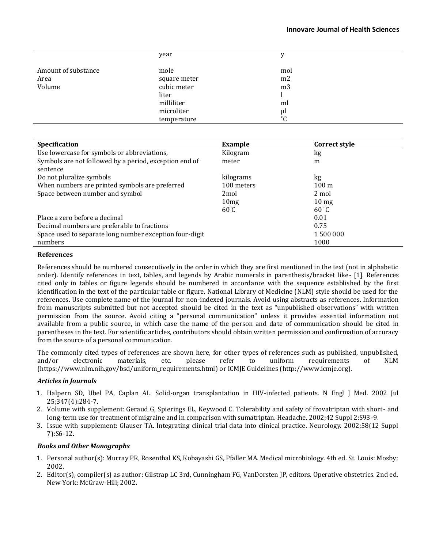#### **Innovare Journal of Health Sciences**

|                     | year         | v               |  |
|---------------------|--------------|-----------------|--|
| Amount of substance | mole         | mol             |  |
| Area                | square meter | m <sub>2</sub>  |  |
| Volume              | cubic meter  | m <sub>3</sub>  |  |
|                     | liter        |                 |  |
|                     | milliliter   | ml              |  |
|                     | microliter   | μl              |  |
|                     | temperature  | $\rm ^{\circ}C$ |  |

| <b>Specification</b>                                    | Example          | Correct style   |
|---------------------------------------------------------|------------------|-----------------|
| Use lowercase for symbols or abbreviations,             | Kilogram         | kg              |
| Symbols are not followed by a period, exception end of  | meter            | m               |
| sentence                                                |                  |                 |
| Do not pluralize symbols                                | kilograms        | kg              |
| When numbers are printed symbols are preferred          | 100 meters       | $100 \text{ m}$ |
| Space between number and symbol                         | 2 <sub>mol</sub> | 2 mol           |
|                                                         | 10 <sub>mg</sub> | $10 \text{ mg}$ |
|                                                         | $60^{\circ}$ C   | 60 °C           |
| Place a zero before a decimal                           |                  | 0.01            |
| Decimal numbers are preferable to fractions             |                  | 0.75            |
| Space used to separate long number exception four-digit |                  | 1 500 000       |
| numbers                                                 |                  | 1000            |

#### **References**

References should be numbered consecutively in the order in which they are first mentioned in the text (not in alphabetic order). Identify references in text, tables, and legends by Arabic numerals in parenthesis/bracket like- [1]. References cited only in tables or figure legends should be numbered in accordance with the sequence established by the first identification in the text of the particular table or figure. National Library of Medicine (NLM) style should be used for the references. Use complete name of the journal for non-indexed journals. Avoid using abstracts as references. Information from manuscripts submitted but not accepted should be cited in the text as "unpublished observations" with written permission from the source. Avoid citing a "personal communication" unless it provides essential information not available from a public source, in which case the name of the person and date of communication should be cited in parentheses in the text. For scientific articles, contributors should obtain written permission and confirmation of accuracy from the source of a personal communication.

The commonly cited types of references are shown here, for other types of references such as published, unpublished, and/or electronic materials, etc. please refer to uniform requirements of NLM (https://www.nlm.nih.gov/bsd/uniform\_requirements.html) or ICMJE Guidelines (http://www.icmje.org).

#### *Articles in Journals*

- 1. Halpern SD, Ubel PA, Caplan AL. Solid-organ transplantation in HIV-infected patients. N Engl J Med. 2002 Jul 25;347(4):284-7.
- 2. Volume with supplement: Geraud G, Spierings EL, Keywood C. Tolerability and safety of frovatriptan with short- and long-term use for treatment of migraine and in comparison with sumatriptan. Headache. 2002;42 Suppl 2:S93-9.
- 3. Issue with supplement: Glauser TA. Integrating clinical trial data into clinical practice. Neurology. 2002;58(12 Suppl 7):S6-12.

#### *Books and Other Monographs*

- 1. Personal author(s): Murray PR, Rosenthal KS, Kobayashi GS, Pfaller MA. Medical microbiology. 4th ed. St. Louis: Mosby; 2002.
- 2. Editor(s), compiler(s) as author: Gilstrap LC 3rd, Cunningham FG, VanDorsten JP, editors. Operative obstetrics. 2nd ed. New York: McGraw-Hill; 2002.